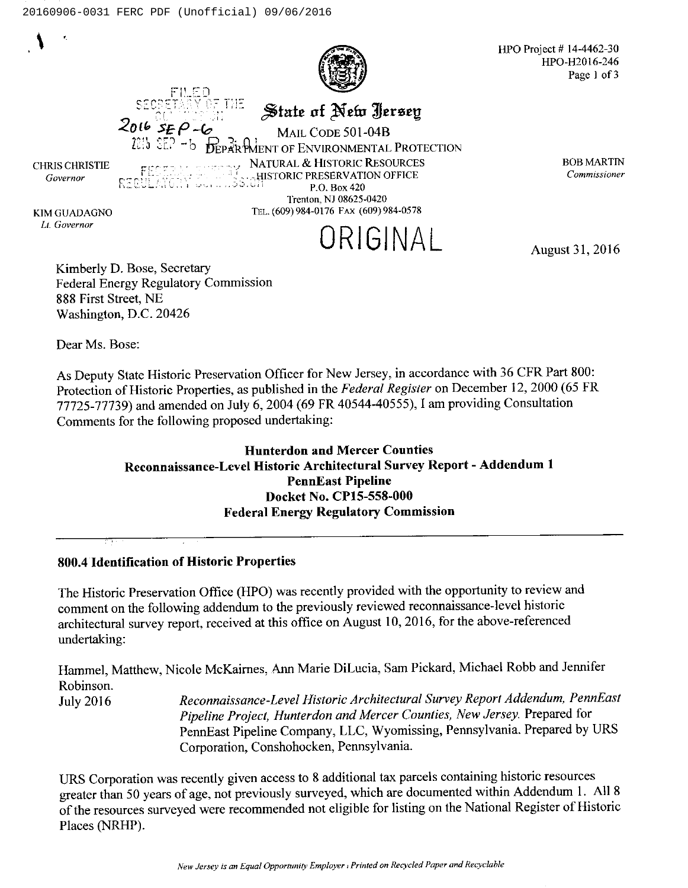

HPO Project # 14-4462-30 HPO-H2016-246 Page <sup>I</sup> of 3

State of New Jerse<sub>l</sub>

Mail Code 501-04B

**D**EPartMent of Environmental Protection NATURAL & HISTORIC RESOURCES

CHRIS CHRISTIE Governor

;HISTORIC PRESERVATION OFFICE P.O. Box 420 Trenton, NJ 08625-0420

Tru (609) 984-0176 Fax (609) 984-0578

KIM GUADAGNO Er Governor

BOBMARTIN Commissioner

ORIGINAL

August 31, 2016

Kimberly D. Bose, Secretary Federal Energy Regulatory Commission 88S First Street, NE Washington, D.C. 20426

Dear Ms. Bose:

As Deputy State Historic Preservation Officer for New Jersey, in accordance with 36 CFR Part 800: Protection of Historic Properties, as published in the Federal Register on December 12, 2000 (65 FR 77725-77739) and amended on July 6, 2004 (69 FR 40544-40555), <sup>1</sup> am providing Consultation Comments for the following proposed undertaking:

## Hunterdon and Mercer Counties Reconnaissance-Level Historic Architectural Survey Report —Addendum 1 PennEast Pipeline Docket No. CP15-558-000 Federal Energy Regulatory Commission

## 800.4 Identification of Historic Properties

The Historic Preservation Office (HPO) was recently provided with the opportunity to review and comment on the following addendum to the previously reviewed reconnaissance-level historic architectural survey report, received at this office on August 10, 2016, for the above-referenced undertaking:

Hammel, Matthew, Nicole McKaimes, Ann Marie DiLucia, Sam Pickard, Michael Robb and Jennifer Robinson.

July 2016 Reconnaissance-Level Historic Architectural Survey Report Addendum, PennEast Pipeline Project, Hunterdon and Mercer Counties, New Jersey. Prepared for PennEast Pipeline Company, LLC, Wyomissing, Pennsylvania. Prepared by URS Corporation, Conshohocken, Pennsylvania.

URS Corporation was recently given access to 8 additional tax parcels containing historic resources greater than <sup>50</sup> years of age, not previously surveyed, which are documented within Addendum l. All <sup>8</sup> of the resources surveyed were recommended not eligible for listing on the National Register of Historic Places (NRHP).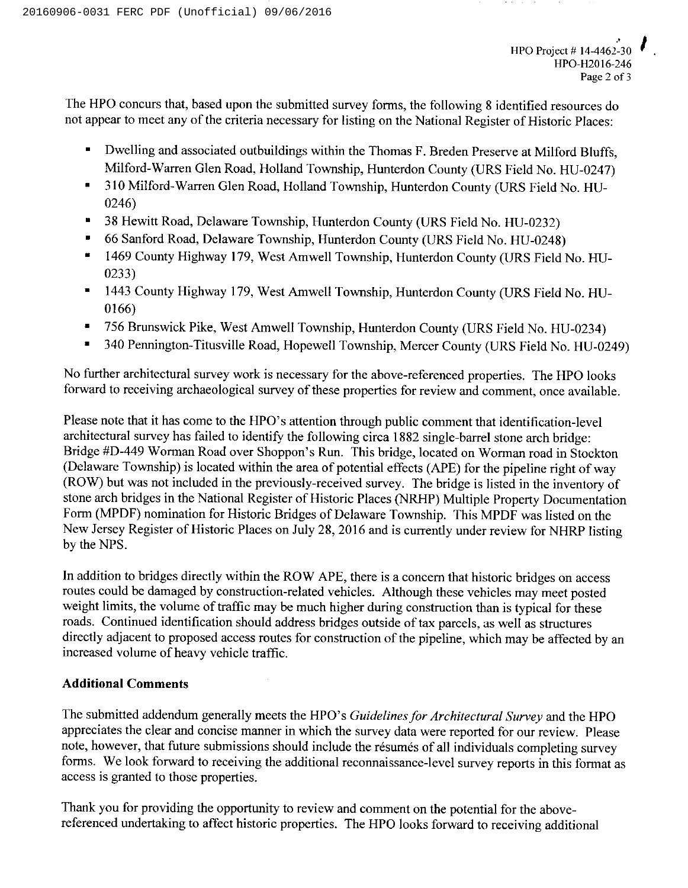The HPO concurs that, based upon the submitted survey forms, the following 8 identified resources do not appear to meet any of the criteria necessary for listing on the National Register of Historic Places:

- Dwelling and associated outbuildings within the Thomas F. Breden Preserve at Milford Bluffs, Ξ Milford-Warren Glen Road, Holland Township, Hunterdon County (URS Field No. HU-0247)
- 310 Milford-Warren Glen Road, Holland Township, Hunterdon County (URS Field No. HU- $\blacksquare$ 0246)
- 38 Hewitt Road, Delaware Township, Hunterdon County (URS Field No. HU-0232) n
- 66 Sanford Road, Delaware Township, Hunterdon County (URS Field No. HU-0248)
- 1469 County Highway 179, West Amwell Township, Hunterdon County (URS Field No. HU-0233)
- 1443 County Highway 179, West Amwell Township, Hunterdon County (URS Field No. HU-0166)
- $\blacksquare$ 756 Brunswick Pike, West Amwell Township, Hunterdon County (URS Field No. HU-0234)
- 340 Pennington-Titusville Road, Hopewell Township, Mercer County (URS Field No. HU-0249)

No further architectural survey work is necessary for the above-referenced properties. The HPO looks forward to receiving archaeological survey of these properties for review and comment, once available.

Please note that it has come to the HPO's attention through public comment that identification-level architectural survey has failed to identify the following circa 1882 single-barrel stone arch bridge: Bridge #D-449 Worman Road over Shoppon's Run. This bridge, located on Worman road in Stockton (Delaware Township) is located within the area of potential effects (APE) for the pipeline right of way (ROW) but was not included in the previously-received survey. The bridge is listed in the inventory of stone arch bridges in the National Register of Historic Places (NRHP) Multiple Property Documentation Form (MPDF) nomination for Historic Bridges of Delaware Township. This MPDF was listed on the New Jersey Register of Historic Places on July 28, 2016 and is currently under review for NHRP listing by the NPS.

In addition to bridges directly within the ROW APE, there is a concern that historic bridges on access routes could be damaged by construction-related vehicles. Although these vehicles may meet posted weight limits, the volume of traffic may be much higher during construction than is typical for these roads. Continued identification should address bridges outside oftax parcels, as well as structures directly adjacent to proposed access routes for construction of the pipeline, which may be affected by an increased volume of heavy vehicle traffic.

## Additional Comments

The submitted addendum generally meets the HPO's Guidelines for Architectural Survey and the HPO appreciates the clear and concise manner in which the survey data were reported for our review. Please note, however, that future submissions should include the resumes of all individuals completing survey forms. We look forward to receiving the additional reconnaissance-level survey reports in this format as access is granted to those properties.

Thank you for providing the opportunity to review and comment on the potential for the abovereferenced undertaking to affect historic properties. The HPO looks forward to receiving additional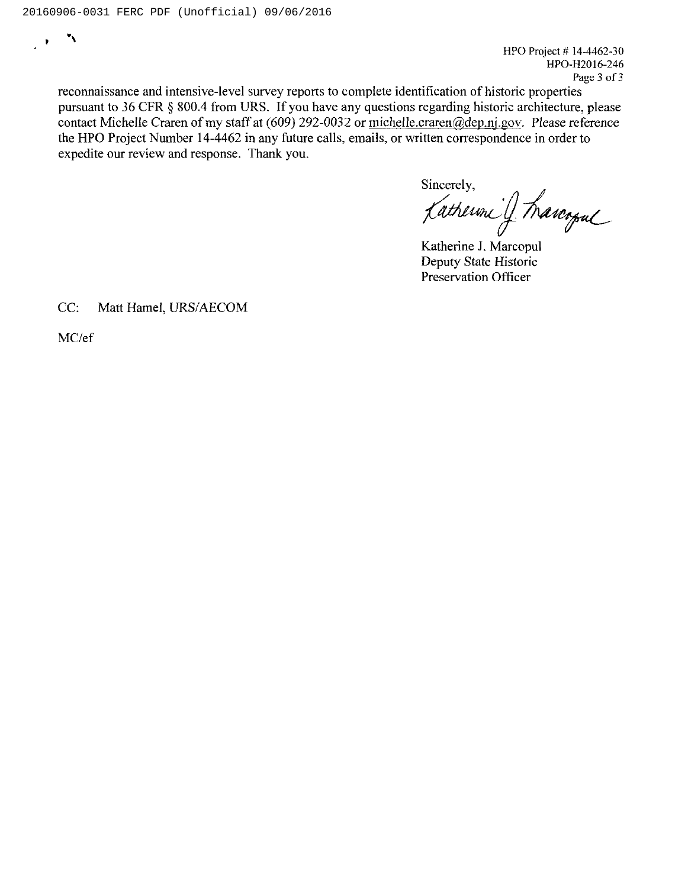$\ddot{\phantom{0}}$  $\mathbf{R}$ 

HPO Project  $# 14-4462-30$ HPO-H2016-246 Page 3 of 3

reconnaissance and intensive-level survey reports to complete identification of historic properties pursuant to 36 CFR § 800.4 from URS. If you have any questions regarding historic architecture, please contact Michelle Craren of my staff at (609) 292-0032 or michelle.craren@dep.nj.gov. Please reference the HPO Project Number 14-4462 in any future calls, emails, or written correspondence in order to expedite our review and response. Thank you.

Sincerely, SINCERCY,<br>Katherine J. Marcopul

Deputy State Historic Preservation Officer

CC: Matt Hamel, URS/AECOM

MC/ef